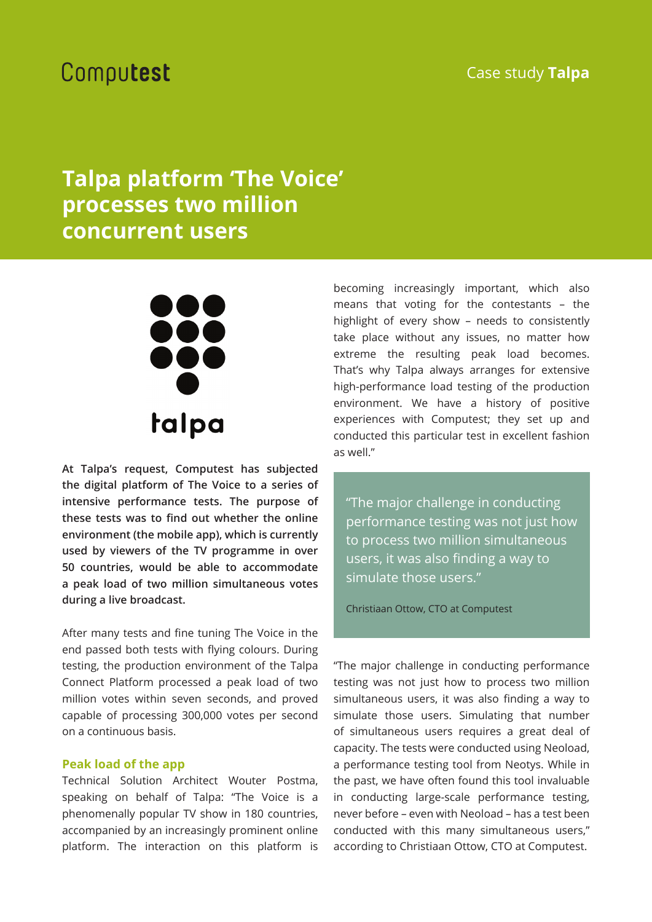### Case study **Talpa**

# Computest

## **Talpa platform 'The Voice' processes two million concurrent users**



**At Talpa's request, Computest has subjected the digital platform of The Voice to a series of intensive performance tests. The purpose of**  these tests was to find out whether the online **environment (the mobile app), which is currently used by viewers of the TV programme in over 50 countries, would be able to accommodate a peak load of two million simultaneous votes during a live broadcast.**

After many tests and fine tuning The Voice in the end passed both tests with flying colours. During testing, the production environment of the Talpa Connect Platform processed a peak load of two million votes within seven seconds, and proved capable of processing 300,000 votes per second on a continuous basis.

### **Peak load of the app**

Technical Solution Architect Wouter Postma, speaking on behalf of Talpa: "The Voice is a phenomenally popular TV show in 180 countries, accompanied by an increasingly prominent online platform. The interaction on this platform is

becoming increasingly important, which also means that voting for the contestants – the highlight of every show – needs to consistently take place without any issues, no matter how extreme the resulting peak load becomes. That's why Talpa always arranges for extensive high-performance load testing of the production environment. We have a history of positive experiences with Computest; they set up and conducted this particular test in excellent fashion as well."

"The major challenge in conducting performance testing was not just how to process two million simultaneous users, it was also finding a way to simulate those users."

Christiaan Ottow, CTO at Computest

"The major challenge in conducting performance testing was not just how to process two million simultaneous users, it was also finding a way to simulate those users. Simulating that number of simultaneous users requires a great deal of capacity. The tests were conducted using Neoload, a performance testing tool from Neotys. While in the past, we have often found this tool invaluable in conducting large-scale performance testing, never before – even with Neoload – has a test been conducted with this many simultaneous users," according to Christiaan Ottow, CTO at Computest.